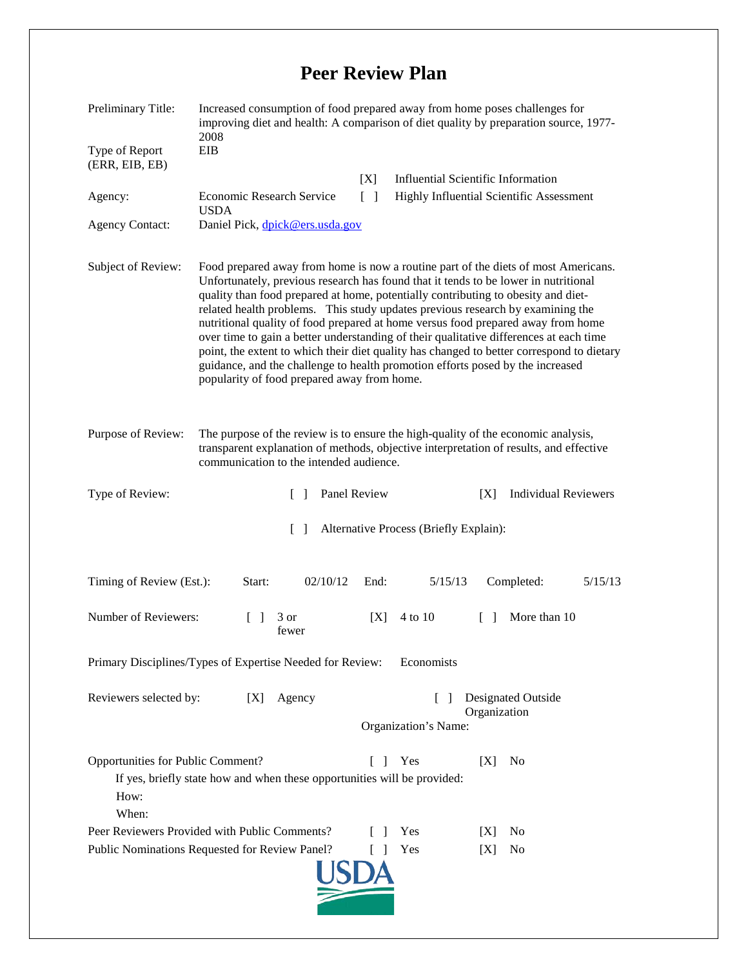## **Peer Review Plan**

| Preliminary Title:                                                                                                                                                         | Increased consumption of food prepared away from home poses challenges for<br>improving diet and health: A comparison of diet quality by preparation source, 1977-<br>2008                                                                                                                                                                                                                                                                                                                                                                                                                                                                                                                                                                                   |        |                                                            |        |                                                 |
|----------------------------------------------------------------------------------------------------------------------------------------------------------------------------|--------------------------------------------------------------------------------------------------------------------------------------------------------------------------------------------------------------------------------------------------------------------------------------------------------------------------------------------------------------------------------------------------------------------------------------------------------------------------------------------------------------------------------------------------------------------------------------------------------------------------------------------------------------------------------------------------------------------------------------------------------------|--------|------------------------------------------------------------|--------|-------------------------------------------------|
| Type of Report<br>(ERR, EIB, EB)                                                                                                                                           | EIB                                                                                                                                                                                                                                                                                                                                                                                                                                                                                                                                                                                                                                                                                                                                                          |        |                                                            |        |                                                 |
|                                                                                                                                                                            |                                                                                                                                                                                                                                                                                                                                                                                                                                                                                                                                                                                                                                                                                                                                                              | [X]    | <b>Influential Scientific Information</b>                  |        |                                                 |
| Agency:                                                                                                                                                                    | Economic Research Service                                                                                                                                                                                                                                                                                                                                                                                                                                                                                                                                                                                                                                                                                                                                    | $\Box$ |                                                            |        | <b>Highly Influential Scientific Assessment</b> |
| <b>Agency Contact:</b>                                                                                                                                                     | <b>USDA</b><br>Daniel Pick, dpick@ers.usda.gov                                                                                                                                                                                                                                                                                                                                                                                                                                                                                                                                                                                                                                                                                                               |        |                                                            |        |                                                 |
| Subject of Review:                                                                                                                                                         | Food prepared away from home is now a routine part of the diets of most Americans.<br>Unfortunately, previous research has found that it tends to be lower in nutritional<br>quality than food prepared at home, potentially contributing to obesity and diet-<br>related health problems. This study updates previous research by examining the<br>nutritional quality of food prepared at home versus food prepared away from home<br>over time to gain a better understanding of their qualitative differences at each time<br>point, the extent to which their diet quality has changed to better correspond to dietary<br>guidance, and the challenge to health promotion efforts posed by the increased<br>popularity of food prepared away from home. |        |                                                            |        |                                                 |
| Purpose of Review:                                                                                                                                                         | The purpose of the review is to ensure the high-quality of the economic analysis,<br>transparent explanation of methods, objective interpretation of results, and effective<br>communication to the intended audience.                                                                                                                                                                                                                                                                                                                                                                                                                                                                                                                                       |        |                                                            |        |                                                 |
| Type of Review:                                                                                                                                                            | Panel Review<br>$\Box$                                                                                                                                                                                                                                                                                                                                                                                                                                                                                                                                                                                                                                                                                                                                       |        |                                                            | [X]    | <b>Individual Reviewers</b>                     |
| Alternative Process (Briefly Explain):<br>$\Box$                                                                                                                           |                                                                                                                                                                                                                                                                                                                                                                                                                                                                                                                                                                                                                                                                                                                                                              |        |                                                            |        |                                                 |
| Timing of Review (Est.):                                                                                                                                                   | 02/10/12<br>Start:                                                                                                                                                                                                                                                                                                                                                                                                                                                                                                                                                                                                                                                                                                                                           | End:   | 5/15/13                                                    |        | Completed:<br>5/15/13                           |
| Number of Reviewers:                                                                                                                                                       | 3 or<br>fewer                                                                                                                                                                                                                                                                                                                                                                                                                                                                                                                                                                                                                                                                                                                                                | [X]    | 4 to 10                                                    | $\Box$ | More than 10                                    |
| Primary Disciplines/Types of Expertise Needed for Review:<br>Economists                                                                                                    |                                                                                                                                                                                                                                                                                                                                                                                                                                                                                                                                                                                                                                                                                                                                                              |        |                                                            |        |                                                 |
| Reviewers selected by:<br>[X]<br>Agency                                                                                                                                    |                                                                                                                                                                                                                                                                                                                                                                                                                                                                                                                                                                                                                                                                                                                                                              |        | Designated Outside<br>Organization<br>Organization's Name: |        |                                                 |
| Opportunities for Public Comment?<br>Yes<br>[X]<br>N <sub>0</sub><br>L<br>- 1<br>If yes, briefly state how and when these opportunities will be provided:<br>How:<br>When: |                                                                                                                                                                                                                                                                                                                                                                                                                                                                                                                                                                                                                                                                                                                                                              |        |                                                            |        |                                                 |
| Peer Reviewers Provided with Public Comments?                                                                                                                              |                                                                                                                                                                                                                                                                                                                                                                                                                                                                                                                                                                                                                                                                                                                                                              |        | Yes                                                        | IXI    | No.                                             |
| Yes<br>Public Nominations Requested for Review Panel?<br>N <sub>0</sub><br>[X]                                                                                             |                                                                                                                                                                                                                                                                                                                                                                                                                                                                                                                                                                                                                                                                                                                                                              |        |                                                            |        |                                                 |